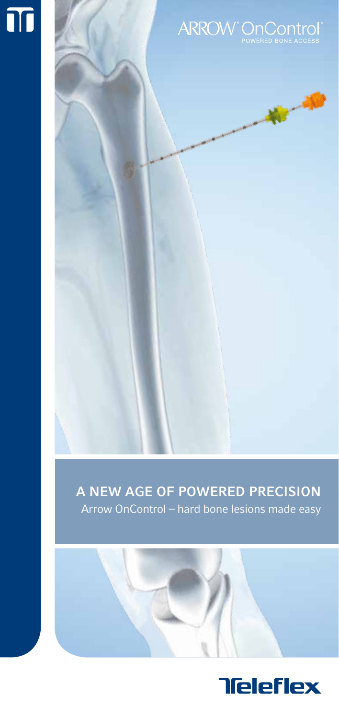



# A NEW AGE OF POWERED PRECISION Arrow OnControl – hard bone lesions made easy

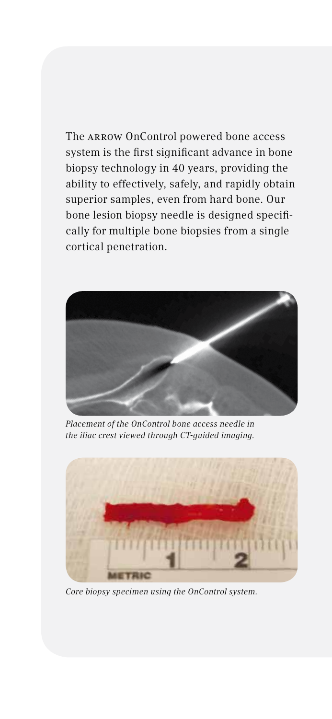The ARROW OnControl powered bone access system is the first significant advance in bone biopsy technology in 40 years, providing the ability to effectively, safely, and rapidly obtain superior samples, even from hard bone. Our bone lesion biopsy needle is designed specifically for multiple bone biopsies from a single cortical penetration.



*Placement of the OnControl bone access needle in the iliac crest viewed through CT-guided imaging.*



*Core biopsy specimen using the OnControl system.*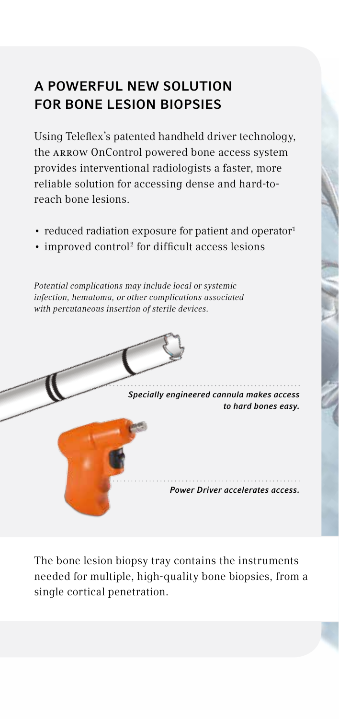# A POWERFUL NEW SOLUTION FOR BONE LESION BIOPSIES

Using Teleflex's patented handheld driver technology, the ARROW OnControl powered bone access system provides interventional radiologists a faster, more reliable solution for accessing dense and hard-toreach bone lesions.

- reduced radiation exposure for patient and operator<sup>1</sup>
- improved control<sup>2</sup> for difficult access lesions

*Potential complications may include local or systemic infection, hematoma, or other complications associated with percutaneous insertion of sterile devices.*



The bone lesion biopsy tray contains the instruments needed for multiple, high-quality bone biopsies, from a single cortical penetration.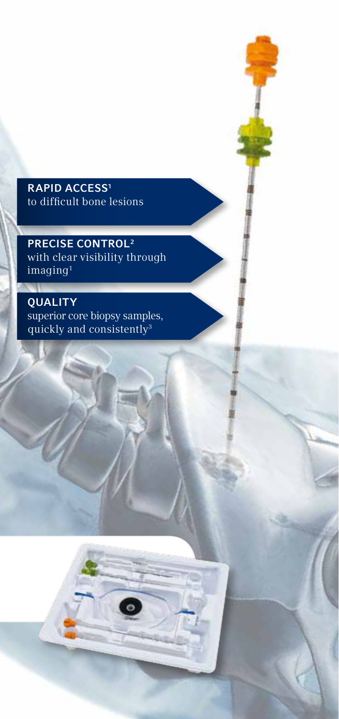## **RAPID ACCESS<sup>1</sup>** to difficult bone lesions

PRECISE CONTROL2 with clear visibility through imaging1

**QUALITY** superior core biopsy samples, quickly and consistently<sup>3</sup>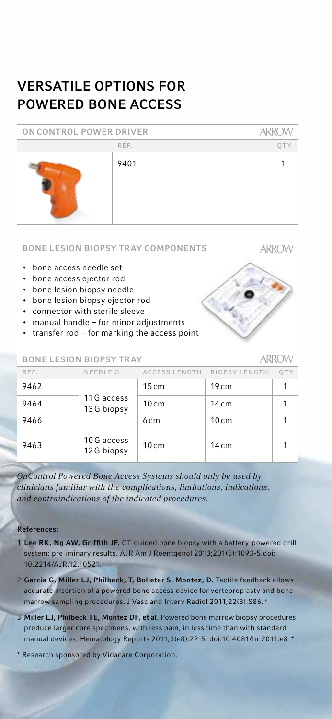# VERSATILE OPTIONS FOR POWERED BONE ACCESS

| ON CONTROL POWER DRIVER |      | <b>ARROW</b> |  |
|-------------------------|------|--------------|--|
|                         | REF. | OTY          |  |
|                         | 9401 |              |  |

**ARROW** 

#### BONE LESION BIOPSY TRAY COMPONENTS

• bone access needle set

- bone access ejector rod
- bone lesion biopsy needle
- bone lesion biopsy ejector rod
- connector with sterile sleeve
- manual handle for minor adjustments
- transfer rod for marking the access point

| <b>BONE LESION BIOPSY TRAY</b> |                           |                 | ARROW                       |     |
|--------------------------------|---------------------------|-----------------|-----------------------------|-----|
| REF.                           | NEEDLE G                  |                 | ACCESS LENGTH BIOPSY LENGTH | OTY |
| 9462                           | 11 G access<br>13G biopsy | 15cm            | 19cm                        |     |
| 9464                           |                           | 10cm            | 14cm                        |     |
| 9466                           |                           | 6 <sub>cm</sub> | 10cm                        |     |
| 9463                           | 10 G access<br>12G biopsy | 10cm            | 14cm                        |     |

*OnControl Powered Bone Access Systems should only be used by clinicians familiar with the complications, limitations, indications, and contraindications of the indicated procedures.*

### References:

- 1 Lee RK, Ng AW, Griffith JF. CT-guided bone biopsy with a battery-powered drill system: preliminary results. AJR Am J Roentgenol 2013;201(5):1093-5.doi: 10.2214/AJR.12.10521.
- 2 Garcia G, Miller LJ, Philbeck, T, Bolleter S, Montez, D. Tactile feedback allows accurate insertion of a powered bone access device for vertebroplasty and bone marrow sampling procedures. J Vasc and Interv Radiol 2011;22(3):S86. \*
- 3 Miller LJ, Philbeck TE, Montez DF, et al. Powered bone marrow biopsy procedures produce larger core specimens, with less pain, in less time than with standard manual devices. Hematology Reports 2011;3(e8):22-5. doi:10.4081/hr.2011.e8. \*
- \* Research sponsored by Vidacare Corporation.